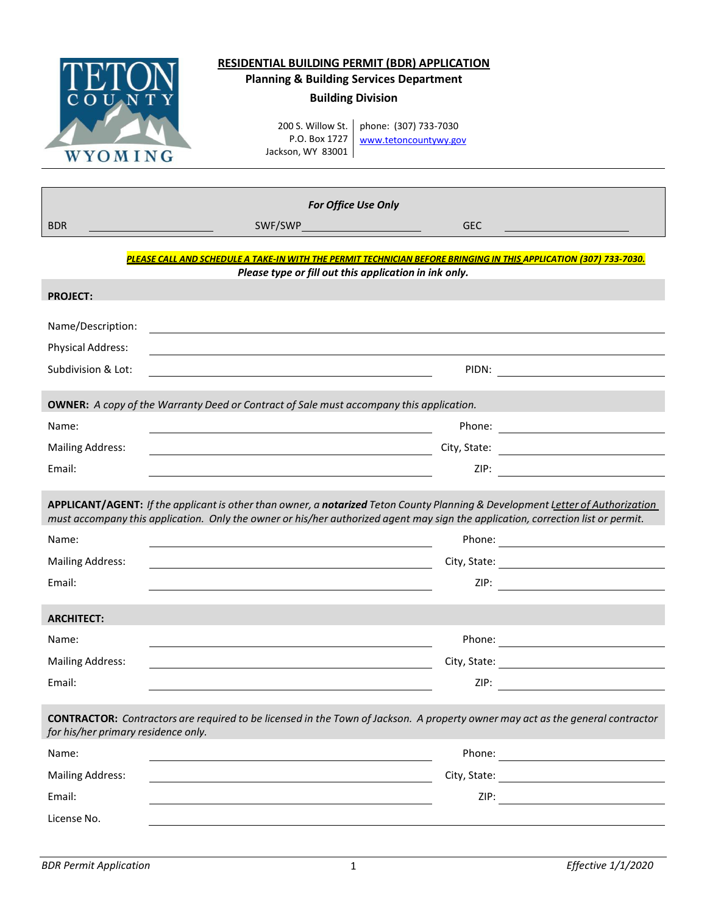| WYOMING                                        | <b>RESIDENTIAL BUILDING PERMIT (BDR) APPLICATION</b><br><b>Planning &amp; Building Services Department</b><br><b>Building Division</b><br>200 S. Willow St.<br>P.O. Box 1727<br>Jackson, WY 83001 | phone: (307) 733-7030<br>www.tetoncountywy.gov |                                                                                                                                                                                                                               |
|------------------------------------------------|---------------------------------------------------------------------------------------------------------------------------------------------------------------------------------------------------|------------------------------------------------|-------------------------------------------------------------------------------------------------------------------------------------------------------------------------------------------------------------------------------|
|                                                |                                                                                                                                                                                                   |                                                |                                                                                                                                                                                                                               |
|                                                | For Office Use Only                                                                                                                                                                               |                                                |                                                                                                                                                                                                                               |
| <b>BDR</b>                                     | SWF/SWP__________________________                                                                                                                                                                 | <b>GEC</b>                                     |                                                                                                                                                                                                                               |
|                                                | PLEASE CALL AND SCHEDULE A TAKE-IN WITH THE PERMIT TECHNICIAN BEFORE BRINGING IN THIS APPLICATION (307) 733-7030.                                                                                 |                                                |                                                                                                                                                                                                                               |
| <b>PROJECT:</b>                                | Please type or fill out this application in ink only.                                                                                                                                             |                                                |                                                                                                                                                                                                                               |
|                                                |                                                                                                                                                                                                   |                                                |                                                                                                                                                                                                                               |
| Name/Description:                              |                                                                                                                                                                                                   |                                                |                                                                                                                                                                                                                               |
| <b>Physical Address:</b><br>Subdivision & Lot: |                                                                                                                                                                                                   |                                                | PIDN: PIDN: PIDN: PIDN: PIDN: PIDN: PIDN: PIDN: PIDN: PIDN: PIDN: PIDN: PIDN: PIDN: PIDN: PIDN: PIDN: PIDN: PIDN: PIDN: PIDN: PIDN: PIDN: PIDN: PIDN: PIDN: PIDN: PIDN: PIDN: PIDN: PIDN: PIDN: PIDN: PIDN: PIDN: PIDN: PIDN: |
|                                                |                                                                                                                                                                                                   |                                                |                                                                                                                                                                                                                               |
|                                                | <b>OWNER:</b> A copy of the Warranty Deed or Contract of Sale must accompany this application.                                                                                                    |                                                |                                                                                                                                                                                                                               |
| Name:                                          |                                                                                                                                                                                                   |                                                |                                                                                                                                                                                                                               |
| <b>Mailing Address:</b>                        | <u> 1989 - Johann Stoff, Amerikaansk politiker († 1908)</u>                                                                                                                                       |                                                |                                                                                                                                                                                                                               |
| Email:                                         |                                                                                                                                                                                                   | ZIP:                                           |                                                                                                                                                                                                                               |
|                                                | APPLICANT/AGENT: If the applicant is other than owner, a notarized Teton County Planning & Development Letter of Authorization                                                                    |                                                |                                                                                                                                                                                                                               |
|                                                | must accompany this application. Only the owner or his/her authorized agent may sign the application, correction list or permit.                                                                  |                                                |                                                                                                                                                                                                                               |
| Name:                                          |                                                                                                                                                                                                   |                                                |                                                                                                                                                                                                                               |
| <b>Mailing Address:</b>                        |                                                                                                                                                                                                   | City, State:                                   |                                                                                                                                                                                                                               |
| Email:                                         |                                                                                                                                                                                                   |                                                |                                                                                                                                                                                                                               |
| <b>ARCHITECT:</b>                              |                                                                                                                                                                                                   |                                                |                                                                                                                                                                                                                               |
| Name:                                          |                                                                                                                                                                                                   |                                                |                                                                                                                                                                                                                               |
| <b>Mailing Address:</b>                        |                                                                                                                                                                                                   |                                                |                                                                                                                                                                                                                               |
| Email:                                         |                                                                                                                                                                                                   |                                                |                                                                                                                                                                                                                               |
| for his/her primary residence only.            | <b>CONTRACTOR:</b> Contractors are required to be licensed in the Town of Jackson. A property owner may act as the general contractor                                                             |                                                |                                                                                                                                                                                                                               |
| Name:                                          |                                                                                                                                                                                                   |                                                |                                                                                                                                                                                                                               |
| <b>Mailing Address:</b>                        |                                                                                                                                                                                                   |                                                |                                                                                                                                                                                                                               |
| Email:                                         | and the control of the control of the control of the control of the control of the control of the control of the                                                                                  |                                                |                                                                                                                                                                                                                               |
| License No.                                    |                                                                                                                                                                                                   |                                                |                                                                                                                                                                                                                               |
|                                                |                                                                                                                                                                                                   |                                                |                                                                                                                                                                                                                               |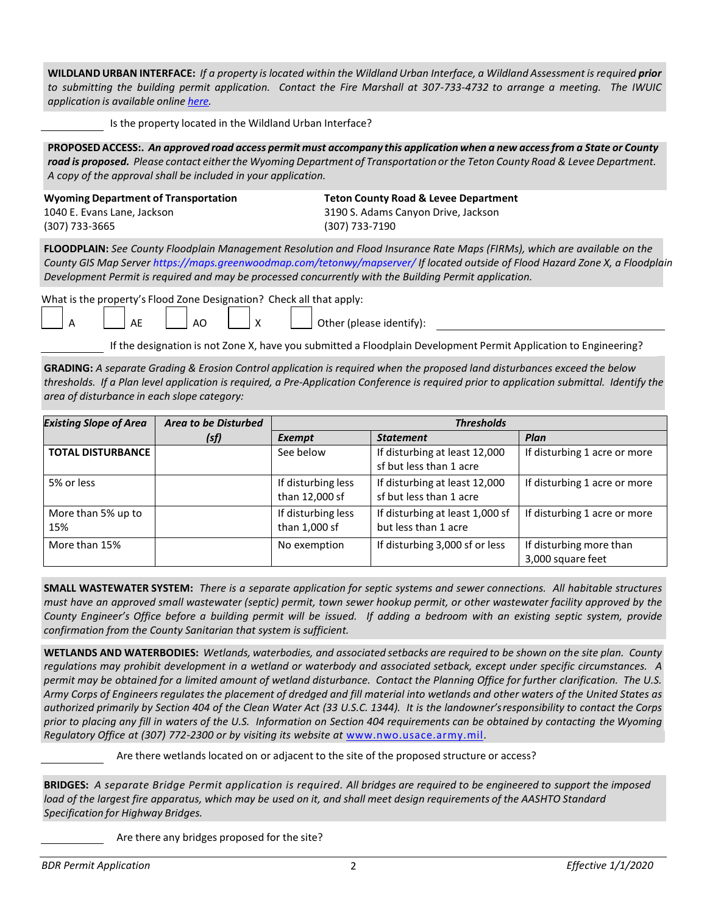**WILDLAND URBAN INTERFACE:** *If a property is located within the Wildland Urban Interface, a Wildland Assessment is required prior to submitting the building permit application. Contact the Fire Marshall at 307-733-4732 to arrange a meeting. The IWUIC application is available online [here.](http://www.tetonwyo.org/fire/topics/contractors-page/252358)*

Is the property located in the Wildland Urban Interface?

**PROPOSED ACCESS:.** *An approved road access permit must accompany this application when a new access from a State or County road is proposed. Please contact either the Wyoming Department of Transportation or the Teton County Road & Levee Department. A copy of the approval shall be included in your application.*

**Wyoming Department of Transportation Teton County Road & Levee Department** 1040 E. Evans Lane, Jackson 3190 S. Adams Canyon Drive, Jackson

(307) 733-3665 (307) 733-7190

**FLOODPLAIN:** *See County Floodplain Management Resolution and Flood Insurance Rate Maps (FIRMs), which are available on the County GIS Map Serve[r https://maps.greenwoodmap.com/tetonwy/mapserver/](https://maps.greenwoodmap.com/tetonwy/mapserver/) If located outside of Flood Hazard Zone X, a Floodplain Development Permit is required and may be processed concurrently with the Building Permit application.*

What is the property's Flood Zone Designation? Check all that apply:

 $\overline{A}$  A  $\overline{A}$   $\overline{A}$   $\overline{A}$   $\overline{A}$   $\overline{A}$   $\overline{A}$   $\overline{A}$   $\overline{A}$   $\overline{A}$   $\overline{A}$   $\overline{A}$   $\overline{A}$   $\overline{A}$   $\overline{A}$   $\overline{A}$   $\overline{A}$   $\overline{A}$   $\overline{A}$   $\overline{A}$   $\overline{A}$   $\overline{A}$   $\overline{A}$   $\overline{A}$   $\over$ 

If the designation is not Zone X, have you submitted a Floodplain Development Permit Application to Engineering?

**GRADING:** *A separate Grading & Erosion Control application is required when the proposed land disturbances exceed the below thresholds. If a Plan level application is required, a Pre-Application Conference is required prior to application submittal. Identify the area of disturbance in each slope category:* 

| <b>Existing Slope of Area</b> | <b>Area to be Disturbed</b> | <b>Thresholds</b>                    |                                                          |                                              |
|-------------------------------|-----------------------------|--------------------------------------|----------------------------------------------------------|----------------------------------------------|
|                               | (sf)                        | Exempt                               | <b>Statement</b>                                         | Plan                                         |
| <b>TOTAL DISTURBANCE</b>      |                             | See below                            | If disturbing at least 12,000<br>sf but less than 1 acre | If disturbing 1 acre or more                 |
| 5% or less                    |                             | If disturbing less<br>than 12,000 sf | If disturbing at least 12,000<br>sf but less than 1 acre | If disturbing 1 acre or more                 |
| More than 5% up to<br>15%     |                             | If disturbing less<br>than 1,000 sf  | If disturbing at least 1,000 sf<br>but less than 1 acre  | If disturbing 1 acre or more                 |
| More than 15%                 |                             | No exemption                         | If disturbing 3,000 sf or less                           | If disturbing more than<br>3,000 square feet |

**SMALL WASTEWATER SYSTEM:** *There is a separate application for septic systems and sewer connections. All habitable structures must have an approved small wastewater (septic) permit, town sewer hookup permit, or other wastewater facility approved by the County Engineer's Office before a building permit will be issued. If adding a bedroom with an existing septic system, provide confirmation from the County Sanitarian that system is sufficient.* 

**WETLANDS AND WATERBODIES:** *Wetlands, waterbodies, and associated setbacks are required to be shown on the site plan. County regulations may prohibit development in a wetland or waterbody and associated setback, except under specific circumstances. A permit may be obtained for a limited amount of wetland disturbance. Contact the Planning Office for further clarification. The U.S. Army Corps of Engineers regulates the placement of dredged and fill material into wetlands and other waters of the United States as authorized primarily by Section 404 of the Clean Water Act (33 U.S.C. 1344). It is the landowner's responsibility to contact the Corps prior to placing any fill in waters of the U.S. Information on Section 404 requirements can be obtained by contacting the Wyoming Regulatory Office at (307) 772-2300 or by visiting its website at* [www.nwo.usace.army.mil.](http://www.nwo.usace.army.mil/)

Are there wetlands located on or adjacent to the site of the proposed structure or access?

**BRIDGES:** *A separate Bridge Permit application is required. All bridges are required to be engineered to support the imposed load of the largest fire apparatus, which may be used on it, and shall meet design requirements of the AASHTO Standard Specification for Highway Bridges.* 

Are there any bridges proposed for the site?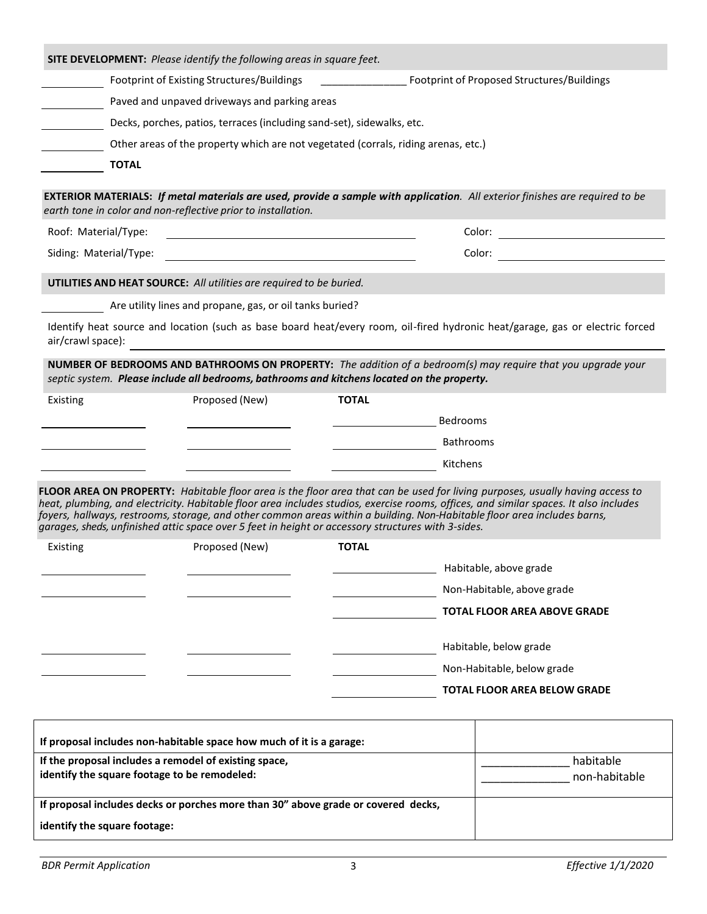|                                                                                                       | <b>SITE DEVELOPMENT:</b> Please identify the following areas in square feet.                                  |                                                               |                                                                                                                                                                                                                                                                                                                                                                                                    |
|-------------------------------------------------------------------------------------------------------|---------------------------------------------------------------------------------------------------------------|---------------------------------------------------------------|----------------------------------------------------------------------------------------------------------------------------------------------------------------------------------------------------------------------------------------------------------------------------------------------------------------------------------------------------------------------------------------------------|
|                                                                                                       | Footprint of Existing Structures/Buildings                                                                    | $\frac{1}{2}$ . The contract of the contract of $\frac{1}{2}$ | Footprint of Proposed Structures/Buildings                                                                                                                                                                                                                                                                                                                                                         |
|                                                                                                       | Paved and unpaved driveways and parking areas                                                                 |                                                               |                                                                                                                                                                                                                                                                                                                                                                                                    |
|                                                                                                       | Decks, porches, patios, terraces (including sand-set), sidewalks, etc.                                        |                                                               |                                                                                                                                                                                                                                                                                                                                                                                                    |
|                                                                                                       | Other areas of the property which are not vegetated (corrals, riding arenas, etc.)                            |                                                               |                                                                                                                                                                                                                                                                                                                                                                                                    |
| <b>TOTAL</b>                                                                                          |                                                                                                               |                                                               |                                                                                                                                                                                                                                                                                                                                                                                                    |
|                                                                                                       | earth tone in color and non-reflective prior to installation.                                                 |                                                               | EXTERIOR MATERIALS: If metal materials are used, provide a sample with application. All exterior finishes are required to be                                                                                                                                                                                                                                                                       |
| Roof: Material/Type:                                                                                  | the control of the control of the control of the control of the control of the control of                     |                                                               |                                                                                                                                                                                                                                                                                                                                                                                                    |
| Siding: Material/Type:                                                                                |                                                                                                               |                                                               |                                                                                                                                                                                                                                                                                                                                                                                                    |
|                                                                                                       | UTILITIES AND HEAT SOURCE: All utilities are required to be buried.                                           |                                                               |                                                                                                                                                                                                                                                                                                                                                                                                    |
|                                                                                                       | Are utility lines and propane, gas, or oil tanks buried?                                                      |                                                               |                                                                                                                                                                                                                                                                                                                                                                                                    |
| air/crawl space):                                                                                     | <u> 1980 - Andrea Andrew Maria (h. 1980).</u>                                                                 |                                                               | Identify heat source and location (such as base board heat/every room, oil-fired hydronic heat/garage, gas or electric forced                                                                                                                                                                                                                                                                      |
| Existing                                                                                              | septic system. Please include all bedrooms, bathrooms and kitchens located on the property.<br>Proposed (New) | <b>TOTAL</b>                                                  | NUMBER OF BEDROOMS AND BATHROOMS ON PROPERTY: The addition of a bedroom(s) may require that you upgrade your                                                                                                                                                                                                                                                                                       |
|                                                                                                       |                                                                                                               |                                                               | Bedrooms                                                                                                                                                                                                                                                                                                                                                                                           |
|                                                                                                       |                                                                                                               |                                                               | <b>Bathrooms</b>                                                                                                                                                                                                                                                                                                                                                                                   |
|                                                                                                       |                                                                                                               |                                                               | Kitchens                                                                                                                                                                                                                                                                                                                                                                                           |
|                                                                                                       | garages, sheds, unfinished attic space over 5 feet in height or accessory structures with 3-sides.            |                                                               | FLOOR AREA ON PROPERTY: Habitable floor area is the floor area that can be used for living purposes, usually having access to<br>heat, plumbing, and electricity. Habitable floor area includes studios, exercise rooms, offices, and similar spaces. It also includes<br>foyers, hallways, restrooms, storage, and other common areas within a building. Non-Habitable floor area includes barns, |
| Existing                                                                                              | Proposed (New)                                                                                                | <b>TOTAL</b>                                                  |                                                                                                                                                                                                                                                                                                                                                                                                    |
|                                                                                                       |                                                                                                               |                                                               | Habitable, above grade                                                                                                                                                                                                                                                                                                                                                                             |
|                                                                                                       |                                                                                                               |                                                               | Non-Habitable, above grade                                                                                                                                                                                                                                                                                                                                                                         |
|                                                                                                       |                                                                                                               |                                                               | <b>TOTAL FLOOR AREA ABOVE GRADE</b>                                                                                                                                                                                                                                                                                                                                                                |
|                                                                                                       |                                                                                                               |                                                               | Habitable, below grade                                                                                                                                                                                                                                                                                                                                                                             |
|                                                                                                       |                                                                                                               |                                                               | Non-Habitable, below grade                                                                                                                                                                                                                                                                                                                                                                         |
|                                                                                                       |                                                                                                               |                                                               | <b>TOTAL FLOOR AREA BELOW GRADE</b>                                                                                                                                                                                                                                                                                                                                                                |
|                                                                                                       | If proposal includes non-habitable space how much of it is a garage:                                          |                                                               |                                                                                                                                                                                                                                                                                                                                                                                                    |
| If the proposal includes a remodel of existing space,<br>identify the square footage to be remodeled: |                                                                                                               |                                                               | habitable<br>non-habitable                                                                                                                                                                                                                                                                                                                                                                         |

| If proposal includes decks or porches more than 30" above grade or covered decks, |  |
|-----------------------------------------------------------------------------------|--|
| identify the square footage:                                                      |  |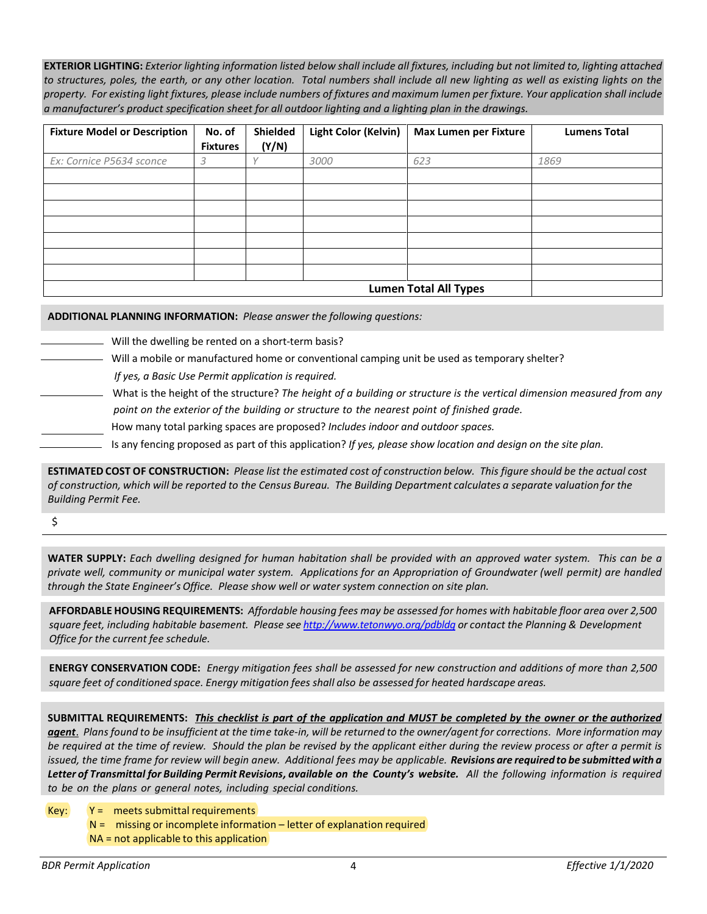**EXTERIOR LIGHTING:** *Exterior lighting information listed below shall include all fixtures, including but not limited to, lighting attached to structures, poles, the earth, or any other location. Total numbers shall include all new lighting as well as existing lights on the property. For existing light fixtures, please include numbers of fixtures and maximum lumen per fixture. Your application shall include a manufacturer's product specification sheet for all outdoor lighting and a lighting plan in the drawings.*

| <b>Fixture Model or Description</b> | No. of<br><b>Fixtures</b> | Shielded<br>(Y/N) | Light Color (Kelvin) | <b>Max Lumen per Fixture</b> | <b>Lumens Total</b> |
|-------------------------------------|---------------------------|-------------------|----------------------|------------------------------|---------------------|
| Ex: Cornice P5634 sconce            | 3                         |                   | 3000                 | 623                          | 1869                |
|                                     |                           |                   |                      |                              |                     |
|                                     |                           |                   |                      |                              |                     |
|                                     |                           |                   |                      |                              |                     |
|                                     |                           |                   |                      |                              |                     |
|                                     |                           |                   |                      |                              |                     |
|                                     |                           |                   |                      |                              |                     |
|                                     |                           |                   |                      |                              |                     |
|                                     |                           |                   |                      | <b>Lumen Total All Types</b> |                     |

**ADDITIONAL PLANNING INFORMATION:** *Please answer the following questions:*

Will the dwelling be rented on a short-term basis?

Will a mobile or manufactured home or conventional camping unit be used as temporary shelter?

*If yes, a Basic Use Permit application is required.*

- What is the height of the structure? *The height of a building or structure is the vertical dimension measured from any point on the exterior of the building or structure to the nearest point of finished grade.*
- How many total parking spaces are proposed? *Includes indoor and outdoor spaces.*
- Is any fencing proposed as part of this application? *If yes, please show location and design on the site plan.*

**ESTIMATED COST OF CONSTRUCTION:** *Please list the estimated cost of construction below. This figure should be the actual cost of construction, which will be reported to the Census Bureau. The Building Department calculates a separate valuation for the Building Permit Fee.*

#### \$

**WATER SUPPLY:** *Each dwelling designed for human habitation shall be provided with an approved water system. This can be a private well, community or municipal water system. Applications for an Appropriation of Groundwater (well permit) are handled through the State Engineer's Office. Please show well or water system connection on site plan.*

**AFFORDABLE HOUSING REQUIREMENTS:** *Affordable housing fees may be assessed for homes with habitable floor area over 2,500 square feet, including habitable basement. Please se[e http://www.tetonwyo.org/pdbldg](http://www.tetonwyo.org/pdbldg) or contact the Planning & Development Office for the current fee schedule.*

**ENERGY CONSERVATION CODE:** *Energy mitigation fees shall be assessed for new construction and additions of more than 2,500 square feet of conditioned space. Energy mitigation fees shall also be assessed for heated hardscape areas.*

**SUBMITTAL REQUIREMENTS:** *This checklist is part of the application and MUST be completed by the owner or the authorized agent*. *Plans found to be insufficient at the time take-in, will be returned to the owner/agent for corrections. More information may be required at the time of review. Should the plan be revised by the applicant either during the review process or after a permit is issued, the time frame for review will begin anew. Additional fees may be applicable. Revisions are required to be submitted with a Letter of Transmittal for Building Permit Revisions, available on the County's website. All the following information is required to be on the plans or general notes, including special conditions.*

- $Key:$   $Y =$  meets submittal requirements
	- $N =$  missing or incomplete information letter of explanation required NA = not applicable to this application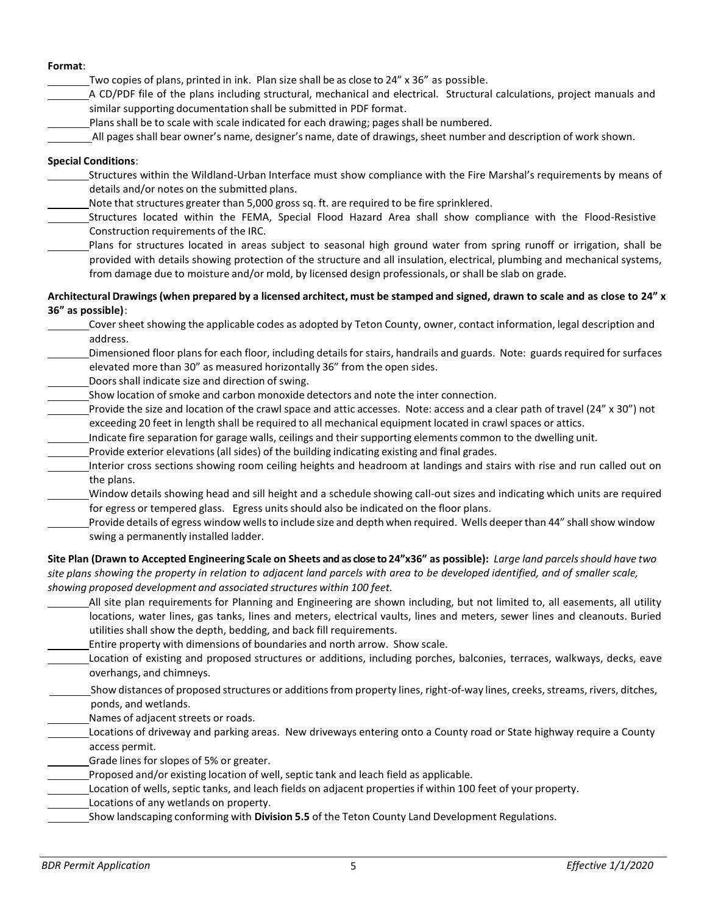### **Format**:

Two copies of plans, printed in ink. Plan size shall be as close to 24" x 36" as possible.

- A CD/PDF file of the plans including structural, mechanical and electrical. Structural calculations, project manuals and similar supporting documentation shall be submitted in PDF format.
	- Plans shall be to scale with scale indicated for each drawing; pages shall be numbered.
- All pages shall bear owner's name, designer's name, date of drawings, sheet number and description of work shown.

## **Special Conditions**:

- Structures within the Wildland-Urban Interface must show compliance with the Fire Marshal's requirements by means of details and/or notes on the submitted plans.
- Note that structures greater than 5,000 gross sq. ft. are required to be fire sprinklered.
- Structures located within the FEMA, Special Flood Hazard Area shall show compliance with the Flood-Resistive Construction requirements of the IRC.
- Plans for structures located in areas subject to seasonal high ground water from spring runoff or irrigation, shall be provided with details showing protection of the structure and all insulation, electrical, plumbing and mechanical systems, from damage due to moisture and/or mold, by licensed design professionals, or shall be slab on grade.

## **Architectural Drawings (when prepared by a licensed architect, must be stamped and signed, drawn to scale and as close to 24" x 36" as possible)**:

| Cover sheet showing the applicable codes as adopted by Teton County, owner, contact information, legal description and            |
|-----------------------------------------------------------------------------------------------------------------------------------|
| address.                                                                                                                          |
| Dimensioned floor plans for each floor, including details for stairs, handrails and guards. Note: guards required for surfaces    |
| elevated more than 30" as measured horizontally 36" from the open sides.                                                          |
| Doors shall indicate size and direction of swing.                                                                                 |
| Show location of smoke and carbon monoxide detectors and note the inter connection.                                               |
| Provide the size and location of the crawl space and attic accesses. Note: access and a clear path of travel (24" x 30") not      |
| exceeding 20 feet in length shall be required to all mechanical equipment located in crawl spaces or attics.                      |
| Indicate fire separation for garage walls, ceilings and their supporting elements common to the dwelling unit.                    |
| Provide exterior elevations (all sides) of the building indicating existing and final grades.                                     |
| Interior cross sections showing room ceiling heights and headroom at landings and stairs with rise and run called out on          |
| the plans.                                                                                                                        |
| Window details showing head and sill height and a schedule showing call-out sizes and indicating which units are required         |
| for egress or tempered glass. Egress units should also be indicated on the floor plans.                                           |
| Provide details of egress window wells to include size and depth when required. Wells deeper than 44" shall show window           |
| swing a permanently installed ladder.                                                                                             |
| Site Plan (Drawn to Accepted Engineering Scale on Sheets and as close to 24"x36" as possible): Large land parcels should have two |

*site plans showing the property in relation to adjacent land parcels with area to be developed identified, and of smaller scale, showing proposed development and associated structures within 100 feet.*

- All site plan requirements for Planning and Engineering are shown including, but not limited to, all easements, all utility locations, water lines, gas tanks, lines and meters, electrical vaults, lines and meters, sewer lines and cleanouts. Buried utilities shall show the depth, bedding, and back fill requirements.
- Entire property with dimensions of boundaries and north arrow. Show scale.
- Location of existing and proposed structures or additions, including porches, balconies, terraces, walkways, decks, eave overhangs, and chimneys.
- Show distances of proposed structures or additions from property lines, right-of-way lines, creeks, streams, rivers, ditches, ponds, and wetlands.
- Names of adjacent streets or roads.
- Locations of driveway and parking areas. New driveways entering onto a County road or State highway require a County access permit.
- Grade lines for slopes of 5% or greater.
- Proposed and/or existing location of well, septic tank and leach field as applicable.
- Location of wells, septic tanks, and leach fields on adjacent properties if within 100 feet of your property.
- Locations of any wetlands on property.
- Show landscaping conforming with **Division 5.5** of the Teton County Land Development Regulations.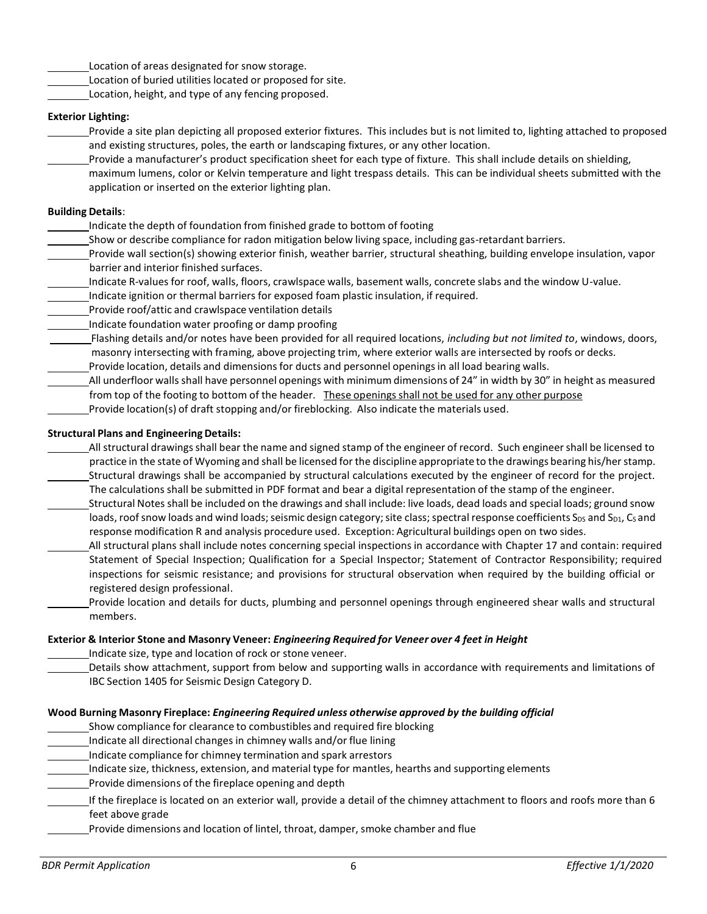- Location of areas designated for snow storage.
- Location of buried utilities located or proposed for site.
- Location, height, and type of any fencing proposed.

# **Exterior Lighting:**

Provide a site plan depicting all proposed exterior fixtures. This includes but is not limited to, lighting attached to proposed and existing structures, poles, the earth or landscaping fixtures, or any other location.

Provide a manufacturer's product specification sheet for each type of fixture. This shall include details on shielding, maximum lumens, color or Kelvin temperature and light trespass details. This can be individual sheets submitted with the application or inserted on the exterior lighting plan.

# **Building Details**:

- Indicate the depth of foundation from finished grade to bottom of footing
- Show or describe compliance for radon mitigation below living space, including gas-retardant barriers.

Provide wall section(s) showing exterior finish, weather barrier, structural sheathing, building envelope insulation, vapor barrier and interior finished surfaces.

- Indicate R-values for roof, walls, floors, crawlspace walls, basement walls, concrete slabs and the window U-value.
- Indicate ignition or thermal barriers for exposed foam plastic insulation, if required.
- Provide roof/attic and crawlspace ventilation details
- Indicate foundation water proofing or damp proofing

Flashing details and/or notes have been provided for all required locations, *including but not limited to*, windows, doors, masonry intersecting with framing, above projecting trim, where exterior walls are intersected by roofs or decks.

- Provide location, details and dimensions for ducts and personnel openings in all load bearing walls.
- All underfloor walls shall have personnel openings with minimum dimensions of 24" in width by 30" in height as measured from top of the footing to bottom of the header. These openings shall not be used for any other purpose
- Provide location(s) of draft stopping and/or fireblocking. Also indicate the materials used.

# **Structural Plans and Engineering Details:**

- All structural drawingsshall bear the name and signed stamp of the engineer of record. Such engineer shall be licensed to practice in the state of Wyoming and shall be licensed for the discipline appropriate to the drawings bearing his/her stamp. Structural drawings shall be accompanied by structural calculations executed by the engineer of record for the project. The calculations shall be submitted in PDF format and bear a digital representation of the stamp of the engineer.
- Structural Notes shall be included on the drawings and shall include: live loads, dead loads and special loads; ground snow loads, roof snow loads and wind loads; seismic design category; site class; spectral response coefficients S<sub>DS</sub> and S<sub>D1</sub>, C<sub>S</sub> and response modification R and analysis procedure used. Exception: Agricultural buildings open on two sides.
- All structural plans shall include notes concerning special inspections in accordance with Chapter 17 and contain: required Statement of Special Inspection; Qualification for a Special Inspector; Statement of Contractor Responsibility; required inspections for seismic resistance; and provisions for structural observation when required by the building official or registered design professional.
- Provide location and details for ducts, plumbing and personnel openings through engineered shear walls and structural members.

## **Exterior & Interior Stone and Masonry Veneer:** *Engineering Required for Veneer over 4 feet in Height*

Indicate size, type and location of rock or stone veneer.

 Details show attachment, support from below and supporting walls in accordance with requirements and limitations of IBC Section 1405 for Seismic Design Category D.

## **Wood Burning Masonry Fireplace:** *Engineering Required unless otherwise approved by the building official*

Show compliance for clearance to combustibles and required fire blocking

- Indicate all directional changes in chimney walls and/or flue lining
- Indicate compliance for chimney termination and spark arrestors
- Indicate size, thickness, extension, and material type for mantles, hearths and supporting elements
- Provide dimensions of the fireplace opening and depth
- If the fireplace is located on an exterior wall, provide a detail of the chimney attachment to floors and roofs more than 6 feet above grade
- Provide dimensions and location of lintel, throat, damper, smoke chamber and flue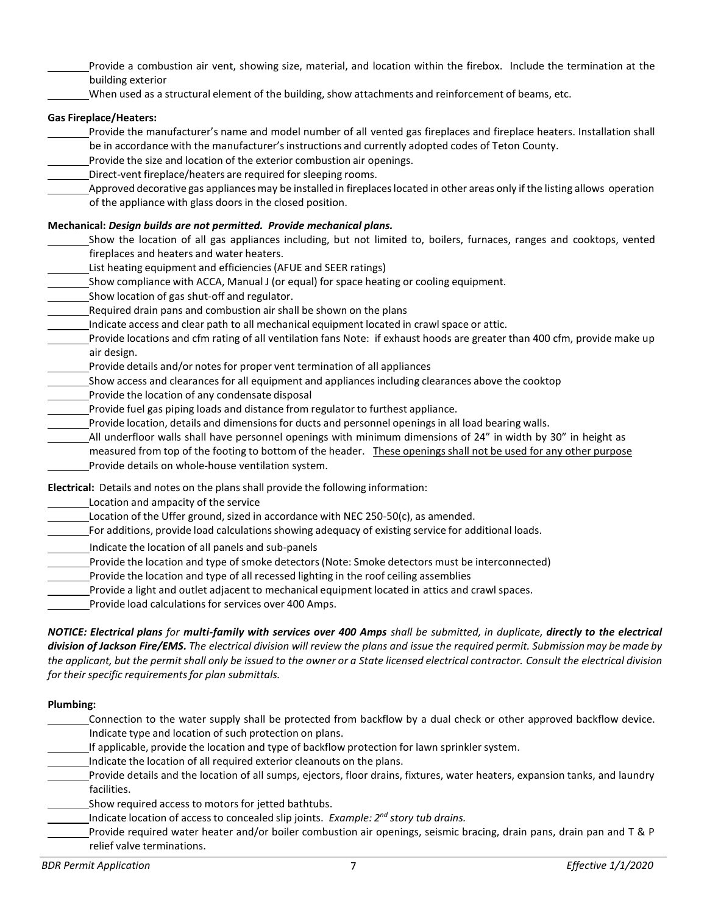- Provide a combustion air vent, showing size, material, and location within the firebox. Include the termination at the building exterior
- When used as a structural element of the building, show attachments and reinforcement of beams, etc.

## **Gas Fireplace/Heaters:**

- Provide the manufacturer's name and model number of all vented gas fireplaces and fireplace heaters. Installation shall be in accordance with the manufacturer's instructions and currently adopted codes of Teton County.
- Provide the size and location of the exterior combustion air openings.
- Direct-vent fireplace/heaters are required for sleeping rooms.
- Approved decorative gas appliances may be installed in fireplaces located in other areas only if the listing allows operation of the appliance with glass doors in the closed position.

### **Mechanical:** *Design builds are not permitted. Provide mechanical plans.*

Show the location of all gas appliances including, but not limited to, boilers, furnaces, ranges and cooktops, vented fireplaces and heaters and water heaters.

- List heating equipment and efficiencies (AFUE and SEER ratings)
- Show compliance with ACCA, Manual J (or equal) for space heating or cooling equipment.
- Show location of gas shut-off and regulator.
- Required drain pans and combustion air shall be shown on the plans
- Indicate access and clear path to all mechanical equipment located in crawl space or attic.
- Provide locations and cfm rating of all ventilation fans Note: if exhaust hoods are greater than 400 cfm, provide make up air design.
- Provide details and/or notes for proper vent termination of all appliances
- Show access and clearances for all equipment and appliances including clearances above the cooktop
- Provide the location of any condensate disposal
- Provide fuel gas piping loads and distance from regulator to furthest appliance.
- Provide location, details and dimensions for ducts and personnel openingsin all load bearing walls.
- All underfloor walls shall have personnel openings with minimum dimensions of 24" in width by 30" in height as measured from top of the footing to bottom of the header. These openings shall not be used for any other purpose Provide details on whole-house ventilation system.
- **Electrical:** Details and notes on the plans shall provide the following information:
- Location and ampacity of the service
- Location of the Uffer ground, sized in accordance with NEC 250-50(c), as amended.
- For additions, provide load calculations showing adequacy of existing service for additional loads.
- Indicate the location of all panels and sub-panels
- Provide the location and type of smoke detectors (Note: Smoke detectors must be interconnected)
- Provide the location and type of all recessed lighting in the roof ceiling assemblies
- Provide a light and outlet adjacent to mechanical equipment located in attics and crawl spaces.
- Provide load calculations for services over 400 Amps.

*NOTICE: Electrical plans for multi-family with services over 400 Amps shall be submitted, in duplicate, directly to the electrical division of Jackson Fire/EMS. The electrical division will review the plans and issue the required permit. Submission may be made by the applicant, but the permit shall only be issued to the owner or a State licensed electrical contractor. Consult the electrical division for their specific requirements for plan submittals.* 

#### **Plumbing:**

- Connection to the water supply shall be protected from backflow by a dual check or other approved backflow device. Indicate type and location of such protection on plans.
- If applicable, provide the location and type of backflow protection for lawn sprinkler system.
- Indicate the location of all required exterior cleanouts on the plans.
- Provide details and the location of all sumps, ejectors, floor drains, fixtures, water heaters, expansion tanks, and laundry facilities.
- Show required access to motors for jetted bathtubs.
- Indicate location of access to concealed slip joints. *Example: 2nd story tub drains.*
- Provide required water heater and/or boiler combustion air openings, seismic bracing, drain pans, drain pan and T & P relief valve terminations.